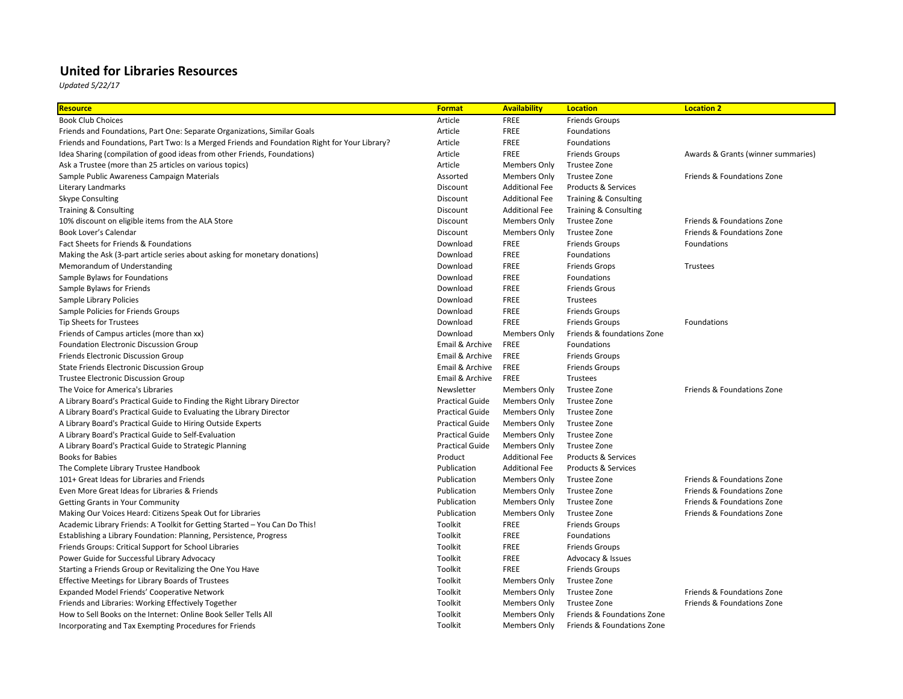## **United for Libraries Resources**

*Updated 5/22/17*

| Resource                                                                                      | <b>Format</b>          | <b>Availability</b>   | <b>Location</b>                | <b>Location 2</b>          |
|-----------------------------------------------------------------------------------------------|------------------------|-----------------------|--------------------------------|----------------------------|
| <b>Book Club Choices</b>                                                                      | Article                | <b>FREE</b>           | <b>Friends Groups</b>          |                            |
| Friends and Foundations, Part One: Separate Organizations, Similar Goals                      | Article                | <b>FREE</b>           | Foundations                    |                            |
| Friends and Foundations, Part Two: Is a Merged Friends and Foundation Right for Your Library? | Article                | <b>FREE</b>           | Foundations                    |                            |
| Idea Sharing (compilation of good ideas from other Friends, Foundations)                      | Article                | <b>FREE</b>           | <b>Friends Groups</b>          | Awards & Grants (winner su |
| Ask a Trustee (more than 25 articles on various topics)                                       | Article                | Members Only          | Trustee Zone                   |                            |
| Sample Public Awareness Campaign Materials                                                    | Assorted               | <b>Members Only</b>   | Trustee Zone                   | Friends & Foundations Zone |
| Literary Landmarks                                                                            | Discount               | <b>Additional Fee</b> | <b>Products &amp; Services</b> |                            |
| <b>Skype Consulting</b>                                                                       | Discount               | <b>Additional Fee</b> | Training & Consulting          |                            |
| <b>Training &amp; Consulting</b>                                                              | Discount               | <b>Additional Fee</b> | Training & Consulting          |                            |
| 10% discount on eligible items from the ALA Store                                             | Discount               | <b>Members Only</b>   | Trustee Zone                   | Friends & Foundations Zone |
| Book Lover's Calendar                                                                         | Discount               | <b>Members Only</b>   | Trustee Zone                   | Friends & Foundations Zone |
| Fact Sheets for Friends & Foundations                                                         | Download               | <b>FREE</b>           | <b>Friends Groups</b>          | Foundations                |
| Making the Ask (3-part article series about asking for monetary donations)                    | Download               | <b>FREE</b>           | Foundations                    |                            |
| Memorandum of Understanding                                                                   | Download               | FREE                  | <b>Friends Grops</b>           | Trustees                   |
| Sample Bylaws for Foundations                                                                 | Download               | <b>FREE</b>           | <b>Foundations</b>             |                            |
| Sample Bylaws for Friends                                                                     | Download               | <b>FREE</b>           | <b>Friends Grous</b>           |                            |
| Sample Library Policies                                                                       | Download               | <b>FREE</b>           | Trustees                       |                            |
| Sample Policies for Friends Groups                                                            | Download               | <b>FREE</b>           | <b>Friends Groups</b>          |                            |
| Tip Sheets for Trustees                                                                       | Download               | <b>FREE</b>           | <b>Friends Groups</b>          | Foundations                |
| Friends of Campus articles (more than xx)                                                     | Download               | <b>Members Only</b>   | Friends & foundations Zone     |                            |
| <b>Foundation Electronic Discussion Group</b>                                                 | Email & Archive        | <b>FREE</b>           | Foundations                    |                            |
| Friends Electronic Discussion Group                                                           | Email & Archive        | <b>FREE</b>           | <b>Friends Groups</b>          |                            |
| State Friends Electronic Discussion Group                                                     | Email & Archive        | <b>FREE</b>           | <b>Friends Groups</b>          |                            |
| Trustee Electronic Discussion Group                                                           | Email & Archive        | <b>FREE</b>           | Trustees                       |                            |
| The Voice for America's Libraries                                                             | Newsletter             | <b>Members Only</b>   | Trustee Zone                   | Friends & Foundations Zone |
| A Library Board's Practical Guide to Finding the Right Library Director                       | <b>Practical Guide</b> | Members Only          | Trustee Zone                   |                            |
| A Library Board's Practical Guide to Evaluating the Library Director                          | <b>Practical Guide</b> | <b>Members Only</b>   | Trustee Zone                   |                            |
| A Library Board's Practical Guide to Hiring Outside Experts                                   | <b>Practical Guide</b> | <b>Members Only</b>   | Trustee Zone                   |                            |
| A Library Board's Practical Guide to Self-Evaluation                                          | <b>Practical Guide</b> | <b>Members Only</b>   | Trustee Zone                   |                            |
| A Library Board's Practical Guide to Strategic Planning                                       | <b>Practical Guide</b> | Members Only          | Trustee Zone                   |                            |
| <b>Books for Babies</b>                                                                       | Product                | <b>Additional Fee</b> | <b>Products &amp; Services</b> |                            |
| The Complete Library Trustee Handbook                                                         | Publication            | <b>Additional Fee</b> | <b>Products &amp; Services</b> |                            |
| 101+ Great Ideas for Libraries and Friends                                                    | Publication            | <b>Members Only</b>   | Trustee Zone                   | Friends & Foundations Zone |
| Even More Great Ideas for Libraries & Friends                                                 | Publication            | Members Only          | Trustee Zone                   | Friends & Foundations Zone |
| <b>Getting Grants in Your Community</b>                                                       | Publication            | Members Only          | Trustee Zone                   | Friends & Foundations Zone |
| Making Our Voices Heard: Citizens Speak Out for Libraries                                     | Publication            | <b>Members Only</b>   | Trustee Zone                   | Friends & Foundations Zone |
| Academic Library Friends: A Toolkit for Getting Started - You Can Do This!                    | Toolkit                | <b>FREE</b>           | <b>Friends Groups</b>          |                            |
| Establishing a Library Foundation: Planning, Persistence, Progress                            | Toolkit                | <b>FREE</b>           | Foundations                    |                            |
| Friends Groups: Critical Support for School Libraries                                         | Toolkit                | <b>FREE</b>           | <b>Friends Groups</b>          |                            |
| Power Guide for Successful Library Advocacy                                                   | Toolkit                | <b>FREE</b>           | Advocacy & Issues              |                            |
| Starting a Friends Group or Revitalizing the One You Have                                     | Toolkit                | <b>FREE</b>           | <b>Friends Groups</b>          |                            |
| Effective Meetings for Library Boards of Trustees                                             | Toolkit                | Members Only          | Trustee Zone                   |                            |
| Expanded Model Friends' Cooperative Network                                                   | Toolkit                | Members Only          | Trustee Zone                   | Friends & Foundations Zone |
| Friends and Libraries: Working Effectively Together                                           | Toolkit                | <b>Members Only</b>   | Trustee Zone                   | Friends & Foundations Zone |
| How to Sell Books on the Internet: Online Book Seller Tells All                               | Toolkit                | <b>Members Only</b>   | Friends & Foundations Zone     |                            |
| Incorporating and Tax Exempting Procedures for Friends                                        | Toolkit                | <b>Members Only</b>   | Friends & Foundations Zone     |                            |
|                                                                                               |                        |                       |                                |                            |

s & Grants (winner summaries)